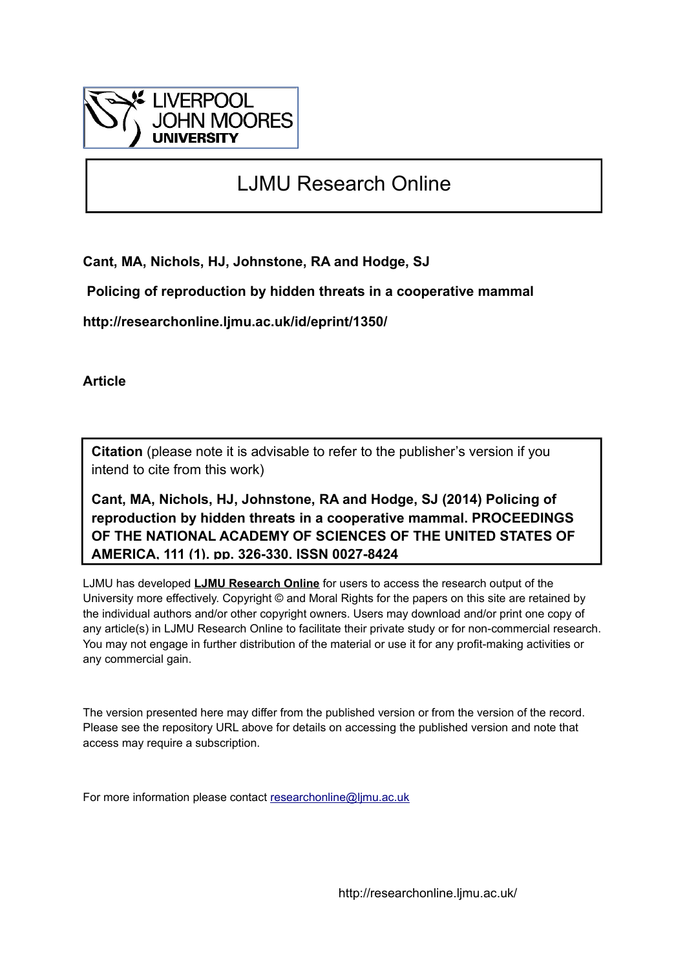

## LJMU Research Online

**Cant, MA, Nichols, HJ, Johnstone, RA and Hodge, SJ**

 **Policing of reproduction by hidden threats in a cooperative mammal**

**http://researchonline.ljmu.ac.uk/id/eprint/1350/**

**Article**

**Citation** (please note it is advisable to refer to the publisher's version if you intend to cite from this work)

**Cant, MA, Nichols, HJ, Johnstone, RA and Hodge, SJ (2014) Policing of reproduction by hidden threats in a cooperative mammal. PROCEEDINGS OF THE NATIONAL ACADEMY OF SCIENCES OF THE UNITED STATES OF AMERICA, 111 (1). pp. 326-330. ISSN 0027-8424** 

LJMU has developed **[LJMU Research Online](http://researchonline.ljmu.ac.uk/)** for users to access the research output of the University more effectively. Copyright © and Moral Rights for the papers on this site are retained by the individual authors and/or other copyright owners. Users may download and/or print one copy of any article(s) in LJMU Research Online to facilitate their private study or for non-commercial research. You may not engage in further distribution of the material or use it for any profit-making activities or any commercial gain.

The version presented here may differ from the published version or from the version of the record. Please see the repository URL above for details on accessing the published version and note that access may require a subscription.

For more information please contact [researchonline@ljmu.ac.uk](mailto:researchonline@ljmu.ac.uk)

http://researchonline.ljmu.ac.uk/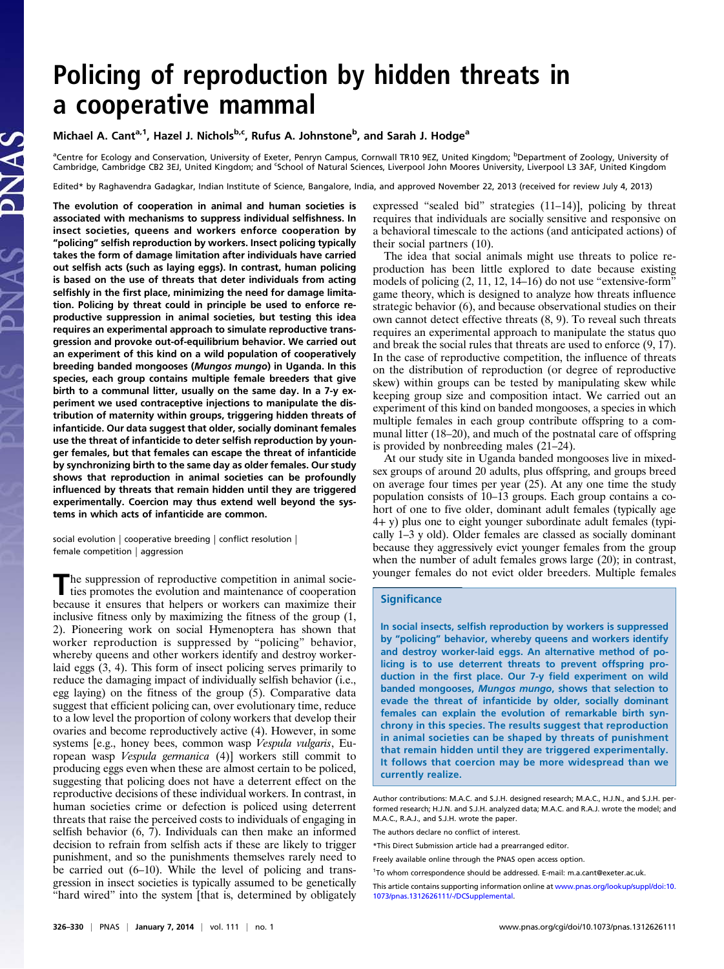# Policing of reproduction by hidden threats in a cooperative mammal

### Michael A. Cant<sup>a, 1</sup>, Hazel J. Nichols<sup>b,c</sup>, Rufus A. Johnstone<sup>b</sup>, and Sarah J. Hodge<sup>a</sup>

<sup>a</sup>Centre for Ecology and Conservation, University of Exeter, Penryn Campus, Cornwall TR10 9EZ, United Kingdom; <sup>b</sup>Department of Zoology, University of Cambridge, Cambridge CB2 3EJ, United Kingdom; and <sup>c</sup>School of Natural Sciences, Liverpool John Moores University, Liverpool L3 3AF, United Kingdom

Edited\* by Raghavendra Gadagkar, Indian Institute of Science, Bangalore, India, and approved November 22, 2013 (received for review July 4, 2013)

The evolution of cooperation in animal and human societies is associated with mechanisms to suppress individual selfishness. In insect societies, queens and workers enforce cooperation by "policing" selfish reproduction by workers. Insect policing typically takes the form of damage limitation after individuals have carried out selfish acts (such as laying eggs). In contrast, human policing is based on the use of threats that deter individuals from acting selfishly in the first place, minimizing the need for damage limitation. Policing by threat could in principle be used to enforce reproductive suppression in animal societies, but testing this idea requires an experimental approach to simulate reproductive transgression and provoke out-of-equilibrium behavior. We carried out an experiment of this kind on a wild population of cooperatively breeding banded mongooses (Mungos mungo) in Uganda. In this species, each group contains multiple female breeders that give birth to a communal litter, usually on the same day. In a 7-y experiment we used contraceptive injections to manipulate the distribution of maternity within groups, triggering hidden threats of infanticide. Our data suggest that older, socially dominant females use the threat of infanticide to deter selfish reproduction by younger females, but that females can escape the threat of infanticide by synchronizing birth to the same day as older females. Our study shows that reproduction in animal societies can be profoundly influenced by threats that remain hidden until they are triggered experimentally. Coercion may thus extend well beyond the systems in which acts of infanticide are common.

social evolution | cooperative breeding | conflict resolution | female competition | aggression

The suppression of reproductive competition in animal socie-<br>ties promotes the evolution and maintenance of cooperation because it ensures that helpers or workers can maximize their inclusive fitness only by maximizing the fitness of the group (1, 2). Pioneering work on social Hymenoptera has shown that worker reproduction is suppressed by "policing" behavior, whereby queens and other workers identify and destroy workerlaid eggs (3, 4). This form of insect policing serves primarily to reduce the damaging impact of individually selfish behavior (i.e., egg laying) on the fitness of the group (5). Comparative data suggest that efficient policing can, over evolutionary time, reduce to a low level the proportion of colony workers that develop their ovaries and become reproductively active (4). However, in some systems [e.g., honey bees, common wasp Vespula vulgaris, European wasp Vespula germanica (4)] workers still commit to producing eggs even when these are almost certain to be policed, suggesting that policing does not have a deterrent effect on the reproductive decisions of these individual workers. In contrast, in human societies crime or defection is policed using deterrent threats that raise the perceived costs to individuals of engaging in selfish behavior (6, 7). Individuals can then make an informed decision to refrain from selfish acts if these are likely to trigger punishment, and so the punishments themselves rarely need to be carried out (6–10). While the level of policing and transgression in insect societies is typically assumed to be genetically "hard wired" into the system [that is, determined by obligately expressed "sealed bid" strategies (11–14)], policing by threat requires that individuals are socially sensitive and responsive on a behavioral timescale to the actions (and anticipated actions) of their social partners (10).

The idea that social animals might use threats to police reproduction has been little explored to date because existing models of policing (2, 11, 12, 14–16) do not use "extensive-form" game theory, which is designed to analyze how threats influence strategic behavior (6), and because observational studies on their own cannot detect effective threats (8, 9). To reveal such threats requires an experimental approach to manipulate the status quo and break the social rules that threats are used to enforce (9, 17). In the case of reproductive competition, the influence of threats on the distribution of reproduction (or degree of reproductive skew) within groups can be tested by manipulating skew while keeping group size and composition intact. We carried out an experiment of this kind on banded mongooses, a species in which multiple females in each group contribute offspring to a communal litter (18–20), and much of the postnatal care of offspring is provided by nonbreeding males (21–24).

At our study site in Uganda banded mongooses live in mixedsex groups of around 20 adults, plus offspring, and groups breed on average four times per year (25). At any one time the study population consists of 10–13 groups. Each group contains a cohort of one to five older, dominant adult females (typically age 4+ y) plus one to eight younger subordinate adult females (typically 1–3 y old). Older females are classed as socially dominant because they aggressively evict younger females from the group when the number of adult females grows large (20); in contrast, younger females do not evict older breeders. Multiple females

#### **Significance**

In social insects, selfish reproduction by workers is suppressed by "policing" behavior, whereby queens and workers identify and destroy worker-laid eggs. An alternative method of policing is to use deterrent threats to prevent offspring production in the first place. Our 7-y field experiment on wild banded mongooses, Mungos mungo, shows that selection to evade the threat of infanticide by older, socially dominant females can explain the evolution of remarkable birth synchrony in this species. The results suggest that reproduction in animal societies can be shaped by threats of punishment that remain hidden until they are triggered experimentally. It follows that coercion may be more widespread than we currently realize.

Author contributions: M.A.C. and S.J.H. designed research; M.A.C., H.J.N., and S.J.H. performed research; H.J.N. and S.J.H. analyzed data; M.A.C. and R.A.J. wrote the model; and M.A.C., R.A.J., and S.J.H. wrote the paper.

The authors declare no conflict of interest.

<sup>1</sup>To whom correspondence should be addressed. E-mail: [m.a.cant@exeter.ac.uk.](mailto:m.a.cant@exeter.ac.uk)

<sup>\*</sup>This Direct Submission article had a prearranged editor.

Freely available online through the PNAS open access option.

This article contains supporting information online at [www.pnas.org/lookup/suppl/doi:10.](http://www.pnas.org/lookup/suppl/doi:10.1073/pnas.1312626111/-/DCSupplemental) [1073/pnas.1312626111/-/DCSupplemental.](http://www.pnas.org/lookup/suppl/doi:10.1073/pnas.1312626111/-/DCSupplemental)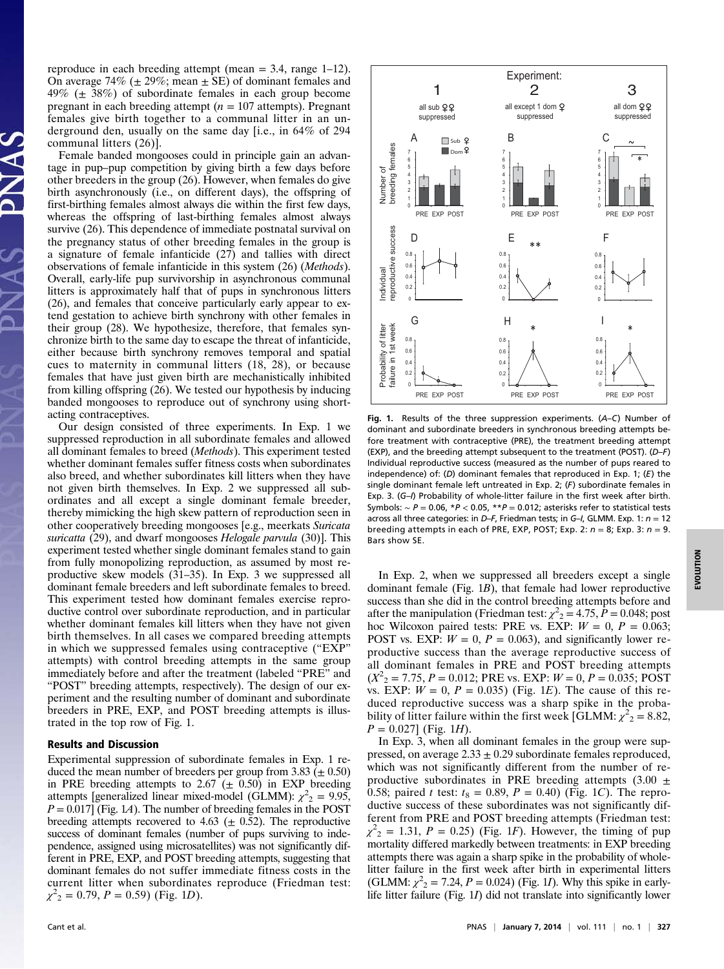reproduce in each breeding attempt (mean = 3.4, range 1–12). On average 74% ( $\pm$  29%; mean  $\pm$  SE) of dominant females and 49% ( $\pm$  38%) of subordinate females in each group become pregnant in each breeding attempt ( $n = 107$  attempts). Pregnant females give birth together to a communal litter in an underground den, usually on the same day [i.e., in 64% of 294 communal litters (26)].

Female banded mongooses could in principle gain an advantage in pup–pup competition by giving birth a few days before other breeders in the group (26). However, when females do give birth asynchronously (i.e., on different days), the offspring of first-birthing females almost always die within the first few days, whereas the offspring of last-birthing females almost always survive (26). This dependence of immediate postnatal survival on the pregnancy status of other breeding females in the group is a signature of female infanticide (27) and tallies with direct observations of female infanticide in this system (26) (Methods). Overall, early-life pup survivorship in asynchronous communal litters is approximately half that of pups in synchronous litters (26), and females that conceive particularly early appear to extend gestation to achieve birth synchrony with other females in their group (28). We hypothesize, therefore, that females synchronize birth to the same day to escape the threat of infanticide, either because birth synchrony removes temporal and spatial cues to maternity in communal litters (18, 28), or because females that have just given birth are mechanistically inhibited from killing offspring (26). We tested our hypothesis by inducing banded mongooses to reproduce out of synchrony using shortacting contraceptives.

Our design consisted of three experiments. In Exp. 1 we suppressed reproduction in all subordinate females and allowed all dominant females to breed (Methods). This experiment tested whether dominant females suffer fitness costs when subordinates also breed, and whether subordinates kill litters when they have not given birth themselves. In Exp. 2 we suppressed all subordinates and all except a single dominant female breeder, thereby mimicking the high skew pattern of reproduction seen in other cooperatively breeding mongooses [e.g., meerkats Suricata suricatta (29), and dwarf mongooses Helogale parvula (30). This experiment tested whether single dominant females stand to gain from fully monopolizing reproduction, as assumed by most reproductive skew models (31–35). In Exp. 3 we suppressed all dominant female breeders and left subordinate females to breed. This experiment tested how dominant females exercise reproductive control over subordinate reproduction, and in particular whether dominant females kill litters when they have not given birth themselves. In all cases we compared breeding attempts in which we suppressed females using contraceptive ("EXP" attempts) with control breeding attempts in the same group immediately before and after the treatment (labeled "PRE" and "POST" breeding attempts, respectively). The design of our experiment and the resulting number of dominant and subordinate breeders in PRE, EXP, and POST breeding attempts is illustrated in the top row of Fig. 1.

#### Results and Discussion

Experimental suppression of subordinate females in Exp. 1 reduced the mean number of breeders per group from 3.83 ( $\pm$  0.50) in PRE breeding attempts to 2.67 ( $\pm$  0.50) in EXP breeding attempts [generalized linear mixed-model (GLMM):  $\chi^2$ <sub>2</sub> = 9.95,  $P = 0.017$  (Fig. 1.4). The number of breeding females in the POST breeding attempts recovered to 4.63 ( $\pm$  0.52). The reproductive success of dominant females (number of pups surviving to independence, assigned using microsatellites) was not significantly different in PRE, EXP, and POST breeding attempts, suggesting that dominant females do not suffer immediate fitness costs in the current litter when subordinates reproduce (Friedman test:  $\chi^2$ <sub>2</sub> = 0.79, *P* = 0.59) (Fig. 1*D*).



Fig. 1. Results of the three suppression experiments. (A–C) Number of dominant and subordinate breeders in synchronous breeding attempts before treatment with contraceptive (PRE), the treatment breeding attempt (EXP), and the breeding attempt subsequent to the treatment (POST). (D–F) Individual reproductive success (measured as the number of pups reared to independence) of: (D) dominant females that reproduced in Exp. 1; (E) the single dominant female left untreated in Exp. 2; (F) subordinate females in Exp. 3. (G-I) Probability of whole-litter failure in the first week after birth. Symbols:  $\sim P = 0.06$ , \* $P < 0.05$ , \*\* $P = 0.012$ ; asterisks refer to statistical tests across all three categories: in D–F, Friedman tests; in G–I, GLMM. Exp. 1:  $n = 12$ breeding attempts in each of PRE, EXP, POST; Exp. 2:  $n = 8$ ; Exp. 3:  $n = 9$ . Bars show SE.

In Exp. 2, when we suppressed all breeders except a single dominant female (Fig. 1B), that female had lower reproductive success than she did in the control breeding attempts before and after the manipulation (Friedman test:  $\chi^2 = 4.75$ ,  $P = 0.048$ ; post hoc Wilcoxon paired tests: PRE vs. EXP:  $W = 0$ ,  $P = 0.063$ ; POST vs. EXP:  $W = 0$ ,  $P = 0.063$ ), and significantly lower reproductive success than the average reproductive success of all dominant females in PRE and POST breeding attempts  $(X^2_{2} = 7.75, P = 0.012; \text{PRE vs. EXP: } W = 0, P = 0.035; \text{ POST}$ vs. EXP:  $W = 0$ ,  $P = 0.035$ ) (Fig. 1*E*). The cause of this reduced reproductive success was a sharp spike in the probability of litter failure within the first week [GLMM:  $\chi^2 = 8.82$ ,  $P = 0.027$  (Fig. 1H).

In Exp. 3, when all dominant females in the group were suppressed, on average  $2.33 \pm 0.29$  subordinate females reproduced, which was not significantly different from the number of reproductive subordinates in PRE breeding attempts  $(3.00 \pm$ 0.58; paired t test:  $t_8 = 0.89$ ,  $P = 0.40$ ) (Fig. 1C). The reproductive success of these subordinates was not significantly different from PRE and POST breeding attempts (Friedman test:  $\chi^2$ <sub>2</sub> = 1.31, P = 0.25) (Fig. 1F). However, the timing of pup mortality differed markedly between treatments: in EXP breeding attempts there was again a sharp spike in the probability of wholelitter failure in the first week after birth in experimental litters (GLMM:  $\chi^2$ <sub>2</sub> = 7.24, *P* = 0.024) (Fig. 1*I*). Why this spike in early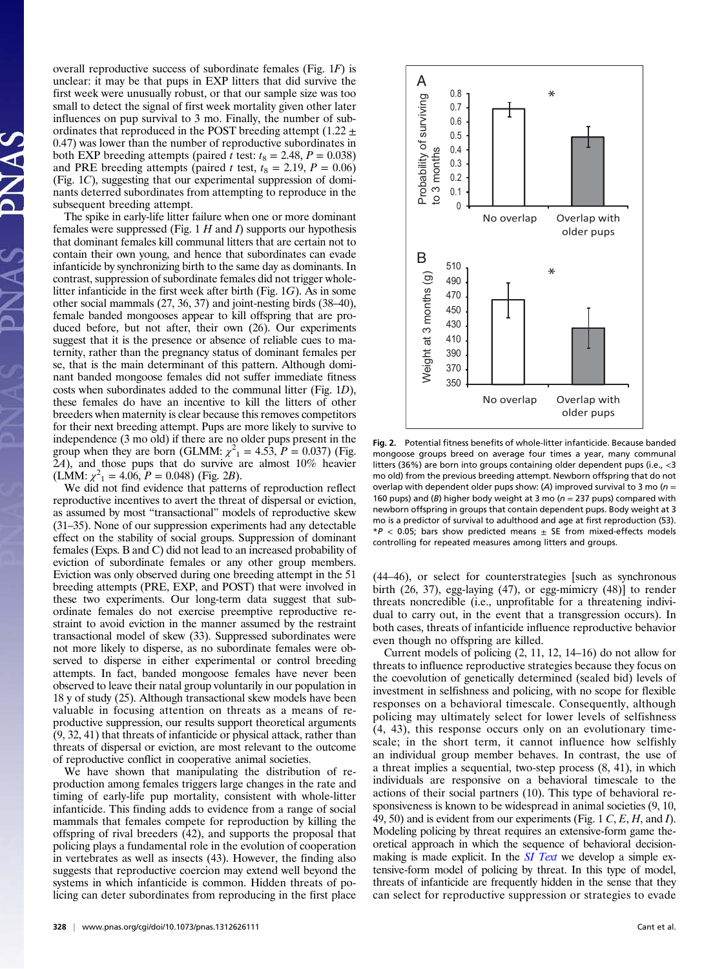overall reproductive success of subordinate females (Fig. 1F) is unclear: it may be that pups in EXP litters that did survive the first week were unusually robust, or that our sample size was too small to detect the signal of first week mortality given other later influences on pup survival to 3 mo. Finally, the number of subordinates that reproduced in the POST breeding attempt (1.22  $\pm$ 0.47) was lower than the number of reproductive subordinates in both EXP breeding attempts (paired t test:  $t_8 = 2.48$ ,  $P = 0.038$ ) and PRE breeding attempts (paired t test,  $t_8 = 2.19$ ,  $P = 0.06$ ) (Fig. 1C), suggesting that our experimental suppression of dominants deterred subordinates from attempting to reproduce in the subsequent breeding attempt.

The spike in early-life litter failure when one or more dominant females were suppressed (Fig.  $1 H$  and  $I$ ) supports our hypothesis that dominant females kill communal litters that are certain not to contain their own young, and hence that subordinates can evade infanticide by synchronizing birth to the same day as dominants. In contrast, suppression of subordinate females did not trigger wholelitter infanticide in the first week after birth (Fig. 1G). As in some other social mammals (27, 36, 37) and joint-nesting birds (38–40), female banded mongooses appear to kill offspring that are produced before, but not after, their own (26). Our experiments suggest that it is the presence or absence of reliable cues to maternity, rather than the pregnancy status of dominant females per se, that is the main determinant of this pattern. Although dominant banded mongoose females did not suffer immediate fitness costs when subordinates added to the communal litter (Fig. 1D), these females do have an incentive to kill the litters of other breeders when maternity is clear because this removes competitors for their next breeding attempt. Pups are more likely to survive to independence  $(3 \text{ mo old})$  if there are no older pups present in the group when they are born (GLMM:  $\chi^2$ <sub>1</sub> = 4.53,  $P = 0.037$ ) (Fig. 2A), and those pups that do survive are almost 10% heavier  $(LMM: \chi^2_1 = 4.06, P = 0.048)$  (Fig. 2B).

We did not find evidence that patterns of reproduction reflect reproductive incentives to avert the threat of dispersal or eviction, as assumed by most "transactional" models of reproductive skew (31–35). None of our suppression experiments had any detectable effect on the stability of social groups. Suppression of dominant females (Exps. B and C) did not lead to an increased probability of eviction of subordinate females or any other group members. Eviction was only observed during one breeding attempt in the 51 breeding attempts (PRE, EXP, and POST) that were involved in these two experiments. Our long-term data suggest that subordinate females do not exercise preemptive reproductive restraint to avoid eviction in the manner assumed by the restraint transactional model of skew (33). Suppressed subordinates were not more likely to disperse, as no subordinate females were observed to disperse in either experimental or control breeding attempts. In fact, banded mongoose females have never been observed to leave their natal group voluntarily in our population in 18 y of study (25). Although transactional skew models have been valuable in focusing attention on threats as a means of reproductive suppression, our results support theoretical arguments (9, 32, 41) that threats of infanticide or physical attack, rather than threats of dispersal or eviction, are most relevant to the outcome of reproductive conflict in cooperative animal societies.

We have shown that manipulating the distribution of reproduction among females triggers large changes in the rate and timing of early-life pup mortality, consistent with whole-litter infanticide. This finding adds to evidence from a range of social mammals that females compete for reproduction by killing the offspring of rival breeders (42), and supports the proposal that policing plays a fundamental role in the evolution of cooperation in vertebrates as well as insects (43). However, the finding also suggests that reproductive coercion may extend well beyond the systems in which infanticide is common. Hidden threats of policing can deter subordinates from reproducing in the first place



Fig. 2. Potential fitness benefits of whole-litter infanticide. Because banded mongoose groups breed on average four times a year, many communal litters (36%) are born into groups containing older dependent pups (i.e., <3 mo old) from the previous breeding attempt. Newborn offspring that do not overlap with dependent older pups show: (A) improved survival to 3 mo ( $n =$ 160 pups) and (B) higher body weight at 3 mo ( $n = 237$  pups) compared with newborn offspring in groups that contain dependent pups. Body weight at 3 mo is a predictor of survival to adulthood and age at first reproduction (53).  $*P < 0.05$ ; bars show predicted means  $\pm$  SE from mixed-effects models controlling for repeated measures among litters and groups.

(44–46), or select for counterstrategies [such as synchronous birth (26, 37), egg-laying (47), or egg-mimicry (48)] to render threats noncredible (i.e., unprofitable for a threatening individual to carry out, in the event that a transgression occurs). In both cases, threats of infanticide influence reproductive behavior even though no offspring are killed.

Current models of policing (2, 11, 12, 14–16) do not allow for threats to influence reproductive strategies because they focus on the coevolution of genetically determined (sealed bid) levels of investment in selfishness and policing, with no scope for flexible responses on a behavioral timescale. Consequently, although policing may ultimately select for lower levels of selfishness (4, 43), this response occurs only on an evolutionary timescale; in the short term, it cannot influence how selfishly an individual group member behaves. In contrast, the use of a threat implies a sequential, two-step process (8, 41), in which individuals are responsive on a behavioral timescale to the actions of their social partners (10). This type of behavioral responsiveness is known to be widespread in animal societies (9, 10, 49, 50) and is evident from our experiments (Fig. 1 C, E, H, and I). Modeling policing by threat requires an extensive-form game theoretical approach in which the sequence of behavioral decisionmaking is made explicit. In the  $SI$  Text we develop a simple extensive-form model of policing by threat. In this type of model, threats of infanticide are frequently hidden in the sense that they can select for reproductive suppression or strategies to evade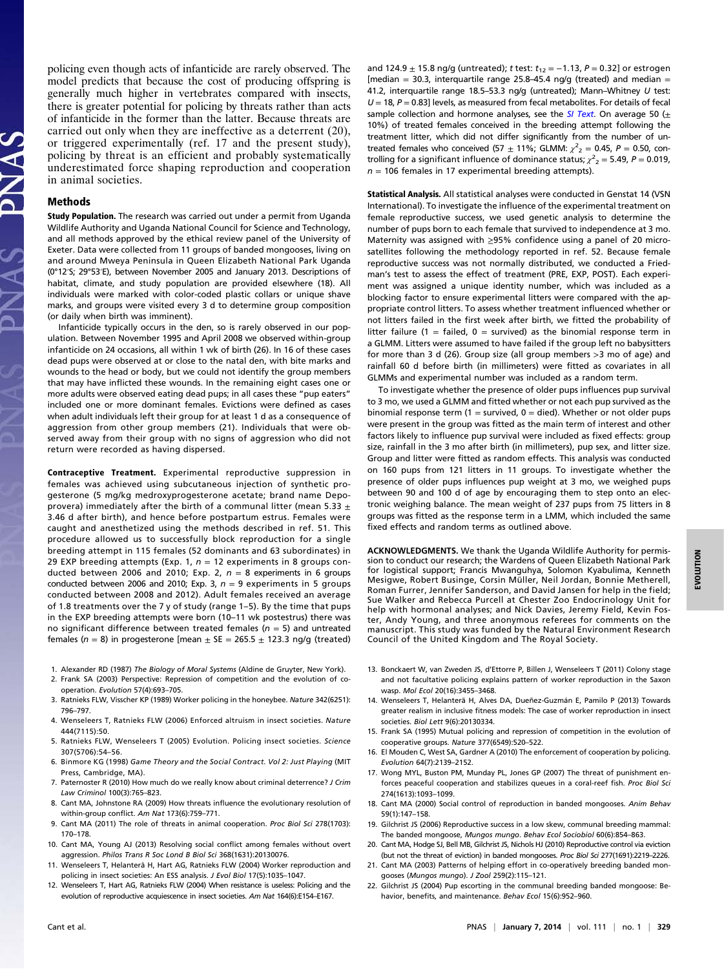policing even though acts of infanticide are rarely observed. The model predicts that because the cost of producing offspring is generally much higher in vertebrates compared with insects, there is greater potential for policing by threats rather than acts of infanticide in the former than the latter. Because threats are carried out only when they are ineffective as a deterrent (20), or triggered experimentally (ref. 17 and the present study), policing by threat is an efficient and probably systematically underestimated force shaping reproduction and cooperation in animal societies.

#### Methods

Study Population. The research was carried out under a permit from Uganda Wildlife Authority and Uganda National Council for Science and Technology, and all methods approved by the ethical review panel of the University of Exeter. Data were collected from 11 groups of banded mongooses, living on and around Mweya Peninsula in Queen Elizabeth National Park Uganda (0°12′S; 29°53′E), between November 2005 and January 2013. Descriptions of habitat, climate, and study population are provided elsewhere (18). All individuals were marked with color-coded plastic collars or unique shave marks, and groups were visited every 3 d to determine group composition (or daily when birth was imminent).

Infanticide typically occurs in the den, so is rarely observed in our population. Between November 1995 and April 2008 we observed within-group infanticide on 24 occasions, all within 1 wk of birth (26). In 16 of these cases dead pups were observed at or close to the natal den, with bite marks and wounds to the head or body, but we could not identify the group members that may have inflicted these wounds. In the remaining eight cases one or more adults were observed eating dead pups; in all cases these "pup eaters" included one or more dominant females. Evictions were defined as cases when adult individuals left their group for at least 1 d as a consequence of aggression from other group members (21). Individuals that were observed away from their group with no signs of aggression who did not return were recorded as having dispersed.

Contraceptive Treatment. Experimental reproductive suppression in females was achieved using subcutaneous injection of synthetic progesterone (5 mg/kg medroxyprogesterone acetate; brand name Depoprovera) immediately after the birth of a communal litter (mean 5.33  $\pm$ 3.46 d after birth), and hence before postpartum estrus. Females were caught and anesthetized using the methods described in ref. 51. This procedure allowed us to successfully block reproduction for a single breeding attempt in 115 females (52 dominants and 63 subordinates) in 29 EXP breeding attempts (Exp. 1,  $n = 12$  experiments in 8 groups conducted between 2006 and 2010; Exp. 2,  $n = 8$  experiments in 6 groups conducted between 2006 and 2010; Exp. 3,  $n = 9$  experiments in 5 groups conducted between 2008 and 2012). Adult females received an average of 1.8 treatments over the 7 y of study (range 1–5). By the time that pups in the EXP breeding attempts were born (10–11 wk postestrus) there was no significant difference between treated females ( $n = 5$ ) and untreated females ( $n = 8$ ) in progesterone [mean  $\pm$  SE = 265.5  $\pm$  123.3 ng/g (treated)

- 1. Alexander RD (1987) The Biology of Moral Systems (Aldine de Gruyter, New York).
- 2. Frank SA (2003) Perspective: Repression of competition and the evolution of cooperation. Evolution 57(4):693–705.
- 3. Ratnieks FLW, Visscher KP (1989) Worker policing in the honeybee. Nature 342(6251): 796–797.
- 4. Wenseleers T, Ratnieks FLW (2006) Enforced altruism in insect societies. Nature 444(7115):50.
- 5. Ratnieks FLW, Wenseleers T (2005) Evolution. Policing insect societies. Science 307(5706):54–56.
- 6. Binmore KG (1998) Game Theory and the Social Contract. Vol 2: Just Playing (MIT Press, Cambridge, MA).
- 7. Paternoster R (2010) How much do we really know about criminal deterrence? J Crim Law Criminol 100(3):765–823.
- 8. Cant MA, Johnstone RA (2009) How threats influence the evolutionary resolution of within-group conflict. Am Nat 173(6):759–771.
- 9. Cant MA (2011) The role of threats in animal cooperation. Proc Biol Sci 278(1703): 170–178.
- 10. Cant MA, Young AJ (2013) Resolving social conflict among females without overt aggression. Philos Trans R Soc Lond B Biol Sci 368(1631):20130076.
- 11. Wenseleers T, Helanterä H, Hart AG, Ratnieks FLW (2004) Worker reproduction and policing in insect societies: An ESS analysis. J Evol Biol 17(5):1035-1047.
- 12. Wenseleers T, Hart AG, Ratnieks FLW (2004) When resistance is useless: Policing and the evolution of reproductive acquiescence in insect societies. Am Nat 164(6):E154–E167.

and 124.9  $\pm$  15.8 ng/g (untreated); t test:  $t_{12} = -1.13$ , P = 0.32] or estrogen [median = 30.3, interquartile range 25.8-45.4 ng/g (treated) and median = 41.2, interquartile range 18.5-53.3 ng/g (untreated); Mann-Whitney U test:  $U = 18$ ,  $P = 0.83$ ] levels, as measured from fecal metabolites. For details of fecal sample collection and hormone analyses, see the  $SI$  Text. On average 50 ( $\pm$ 10%) of treated females conceived in the breeding attempt following the treatment litter, which did not differ significantly from the number of untreated females who conceived (57  $\pm$  11%; GLMM:  $\chi^2$ <sub>2</sub> = 0.45, P = 0.50, controlling for a significant influence of dominance status;  $\chi^2{}_2 = 5.49$ , P = 0.019,  $n = 106$  females in 17 experimental breeding attempts).

Statistical Analysis. All statistical analyses were conducted in Genstat 14 (VSN International). To investigate the influence of the experimental treatment on female reproductive success, we used genetic analysis to determine the number of pups born to each female that survived to independence at 3 mo. Maternity was assigned with ≥95% confidence using a panel of 20 microsatellites following the methodology reported in ref. 52. Because female reproductive success was not normally distributed, we conducted a Friedman's test to assess the effect of treatment (PRE, EXP, POST). Each experiment was assigned a unique identity number, which was included as a blocking factor to ensure experimental litters were compared with the appropriate control litters. To assess whether treatment influenced whether or not litters failed in the first week after birth, we fitted the probability of litter failure (1 = failed, 0 = survived) as the binomial response term in a GLMM. Litters were assumed to have failed if the group left no babysitters for more than 3 d (26). Group size (all group members >3 mo of age) and rainfall 60 d before birth (in millimeters) were fitted as covariates in all GLMMs and experimental number was included as a random term.

To investigate whether the presence of older pups influences pup survival to 3 mo, we used a GLMM and fitted whether or not each pup survived as the binomial response term (1 = survived, 0 = died). Whether or not older pups were present in the group was fitted as the main term of interest and other factors likely to influence pup survival were included as fixed effects: group size, rainfall in the 3 mo after birth (in millimeters), pup sex, and litter size. Group and litter were fitted as random effects. This analysis was conducted on 160 pups from 121 litters in 11 groups. To investigate whether the presence of older pups influences pup weight at 3 mo, we weighed pups between 90 and 100 d of age by encouraging them to step onto an electronic weighing balance. The mean weight of 237 pups from 75 litters in 8 groups was fitted as the response term in a LMM, which included the same fixed effects and random terms as outlined above.

ACKNOWLEDGMENTS. We thank the Uganda Wildlife Authority for permission to conduct our research; the Wardens of Queen Elizabeth National Park for logistical support; Francis Mwanguhya, Solomon Kyabulima, Kenneth Mesigwe, Robert Businge, Corsin Müller, Neil Jordan, Bonnie Metherell, Roman Furrer, Jennifer Sanderson, and David Jansen for help in the field; Sue Walker and Rebecca Purcell at Chester Zoo Endocrinology Unit for help with hormonal analyses; and Nick Davies, Jeremy Field, Kevin Foster, Andy Young, and three anonymous referees for comments on the manuscript. This study was funded by the Natural Environment Research Council of the United Kingdom and The Royal Society.

- 13. Bonckaert W, van Zweden JS, d'Ettorre P, Billen J, Wenseleers T (2011) Colony stage and not facultative policing explains pattern of worker reproduction in the Saxon wasp. Mol Ecol 20(16):3455–3468.
- 14. Wenseleers T, Helanterä H, Alves DA, Dueñez-Guzmán E, Pamilo P (2013) Towards greater realism in inclusive fitness models: The case of worker reproduction in insect societies. Biol Lett 9(6):20130334.
- 15. Frank SA (1995) Mutual policing and repression of competition in the evolution of cooperative groups. Nature 377(6549):520–522.
- 16. El Mouden C, West SA, Gardner A (2010) The enforcement of cooperation by policing. Evolution 64(7):2139–2152.
- 17. Wong MYL, Buston PM, Munday PL, Jones GP (2007) The threat of punishment enforces peaceful cooperation and stabilizes queues in a coral-reef fish. Proc Biol Sci 274(1613):1093–1099.
- 18. Cant MA (2000) Social control of reproduction in banded mongooses. Anim Behav 59(1):147–158.
- 19. Gilchrist JS (2006) Reproductive success in a low skew, communal breeding mammal: The banded mongoose, Mungos mungo. Behav Ecol Sociobiol 60(6):854–863.
- 20. Cant MA, Hodge SJ, Bell MB, Gilchrist JS, Nichols HJ (2010) Reproductive control via eviction (but not the threat of eviction) in banded mongooses. Proc Biol Sci 277(1691):2219–2226.
- 21. Cant MA (2003) Patterns of helping effort in co-operatively breeding banded mongooses (Mungos mungo). J Zool 259(2):115–121.
- 22. Gilchrist JS (2004) Pup escorting in the communal breeding banded mongoose: Behavior, benefits, and maintenance. Behav Ecol 15(6):952–960.